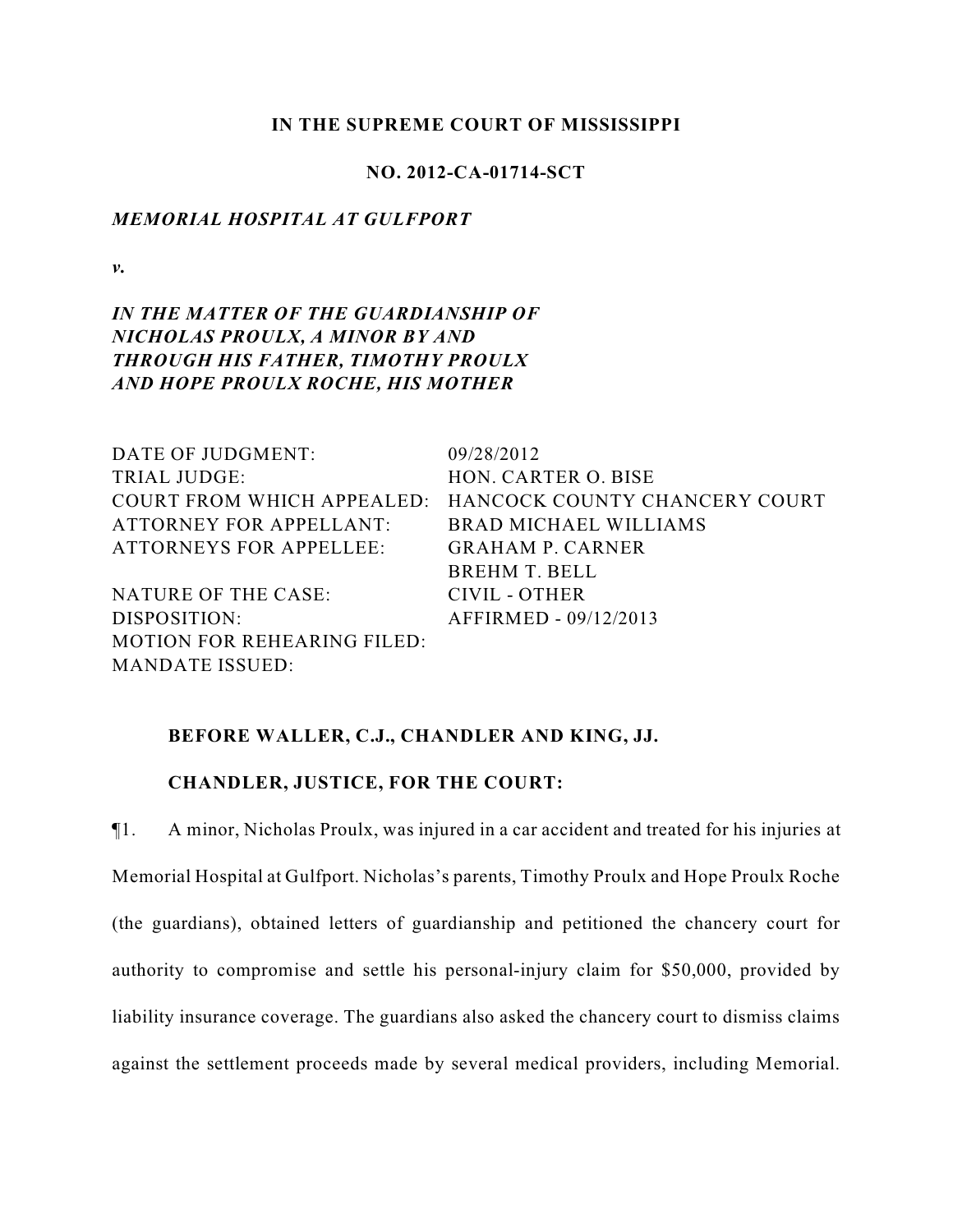### **IN THE SUPREME COURT OF MISSISSIPPI**

## **NO. 2012-CA-01714-SCT**

### *MEMORIAL HOSPITAL AT GULFPORT*

*v.*

# *IN THE MATTER OF THE GUARDIANSHIP OF NICHOLAS PROULX, A MINOR BY AND THROUGH HIS FATHER, TIMOTHY PROULX AND HOPE PROULX ROCHE, HIS MOTHER*

| DATE OF JUDGMENT:                  | 09/28/2012                                               |
|------------------------------------|----------------------------------------------------------|
| TRIAL JUDGE:                       | HON. CARTER O. BISE                                      |
|                                    | COURT FROM WHICH APPEALED: HANCOCK COUNTY CHANCERY COURT |
| ATTORNEY FOR APPELLANT:            | <b>BRAD MICHAEL WILLIAMS</b>                             |
| ATTORNEYS FOR APPELLEE:            | <b>GRAHAM P. CARNER</b>                                  |
|                                    | <b>BREHM T. BELL</b>                                     |
| NATURE OF THE CASE:                | CIVIL - OTHER                                            |
| DISPOSITION:                       | AFFIRMED - 09/12/2013                                    |
| <b>MOTION FOR REHEARING FILED:</b> |                                                          |
| MANDATE ISSUED:                    |                                                          |

### **BEFORE WALLER, C.J., CHANDLER AND KING, JJ.**

## **CHANDLER, JUSTICE, FOR THE COURT:**

¶1. A minor, Nicholas Proulx, was injured in a car accident and treated for his injuries at Memorial Hospital at Gulfport. Nicholas's parents, Timothy Proulx and Hope Proulx Roche (the guardians), obtained letters of guardianship and petitioned the chancery court for authority to compromise and settle his personal-injury claim for \$50,000, provided by liability insurance coverage. The guardians also asked the chancery court to dismiss claims against the settlement proceeds made by several medical providers, including Memorial.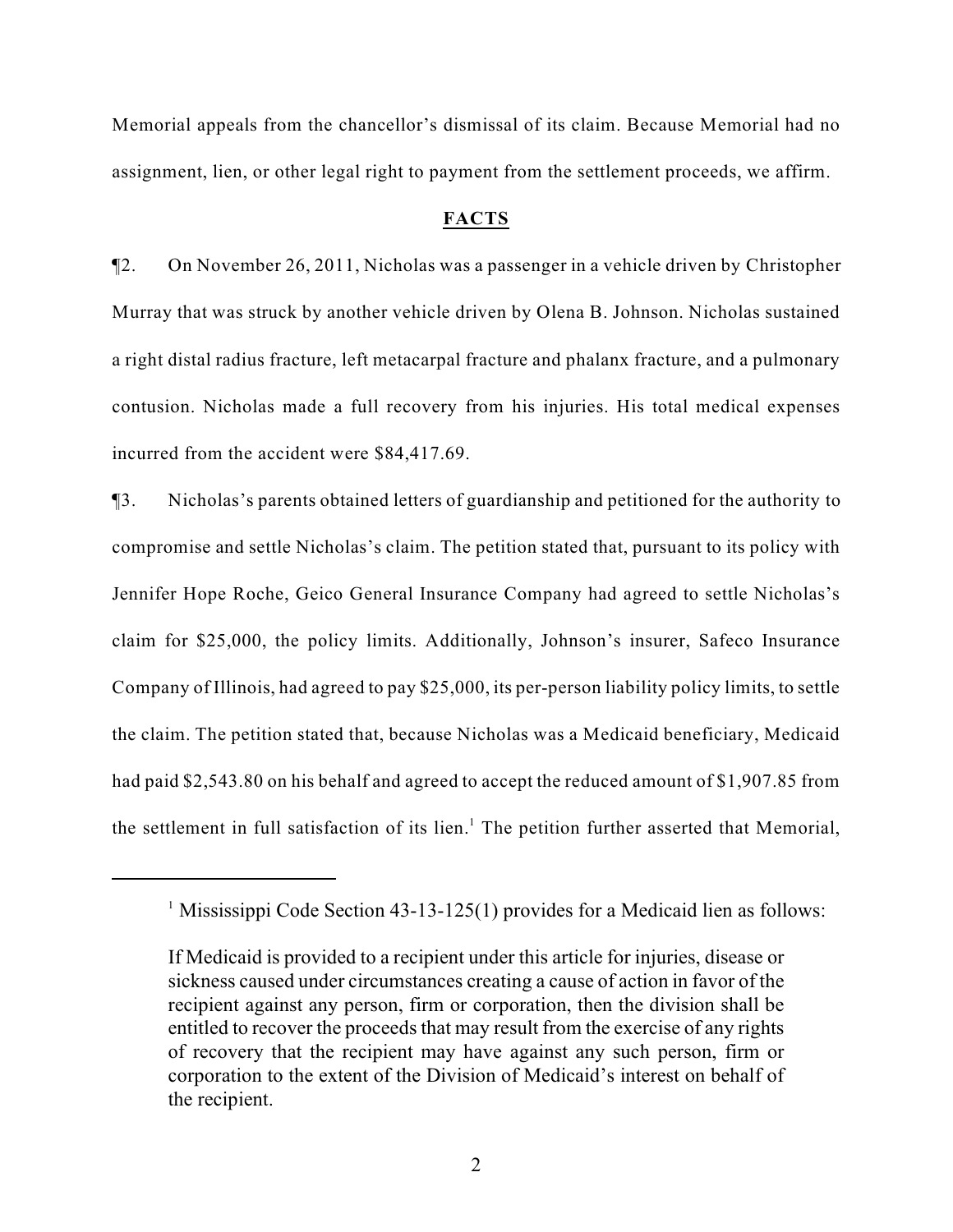Memorial appeals from the chancellor's dismissal of its claim. Because Memorial had no assignment, lien, or other legal right to payment from the settlement proceeds, we affirm.

#### **FACTS**

¶2. On November 26, 2011, Nicholas was a passenger in a vehicle driven by Christopher Murray that was struck by another vehicle driven by Olena B. Johnson. Nicholas sustained a right distal radius fracture, left metacarpal fracture and phalanx fracture, and a pulmonary contusion. Nicholas made a full recovery from his injuries. His total medical expenses incurred from the accident were \$84,417.69.

¶3. Nicholas's parents obtained letters of guardianship and petitioned for the authority to compromise and settle Nicholas's claim. The petition stated that, pursuant to its policy with Jennifer Hope Roche, Geico General Insurance Company had agreed to settle Nicholas's claim for \$25,000, the policy limits. Additionally, Johnson's insurer, Safeco Insurance Company of Illinois, had agreed to pay \$25,000, its per-person liability policy limits, to settle the claim. The petition stated that, because Nicholas was a Medicaid beneficiary, Medicaid had paid \$2,543.80 on his behalf and agreed to accept the reduced amount of \$1,907.85 from the settlement in full satisfaction of its lien.<sup>1</sup> The petition further asserted that Memorial,

<sup>&</sup>lt;sup>1</sup> Mississippi Code Section 43-13-125(1) provides for a Medicaid lien as follows:

If Medicaid is provided to a recipient under this article for injuries, disease or sickness caused under circumstances creating a cause of action in favor of the recipient against any person, firm or corporation, then the division shall be entitled to recover the proceeds that may result from the exercise of any rights of recovery that the recipient may have against any such person, firm or corporation to the extent of the Division of Medicaid's interest on behalf of the recipient.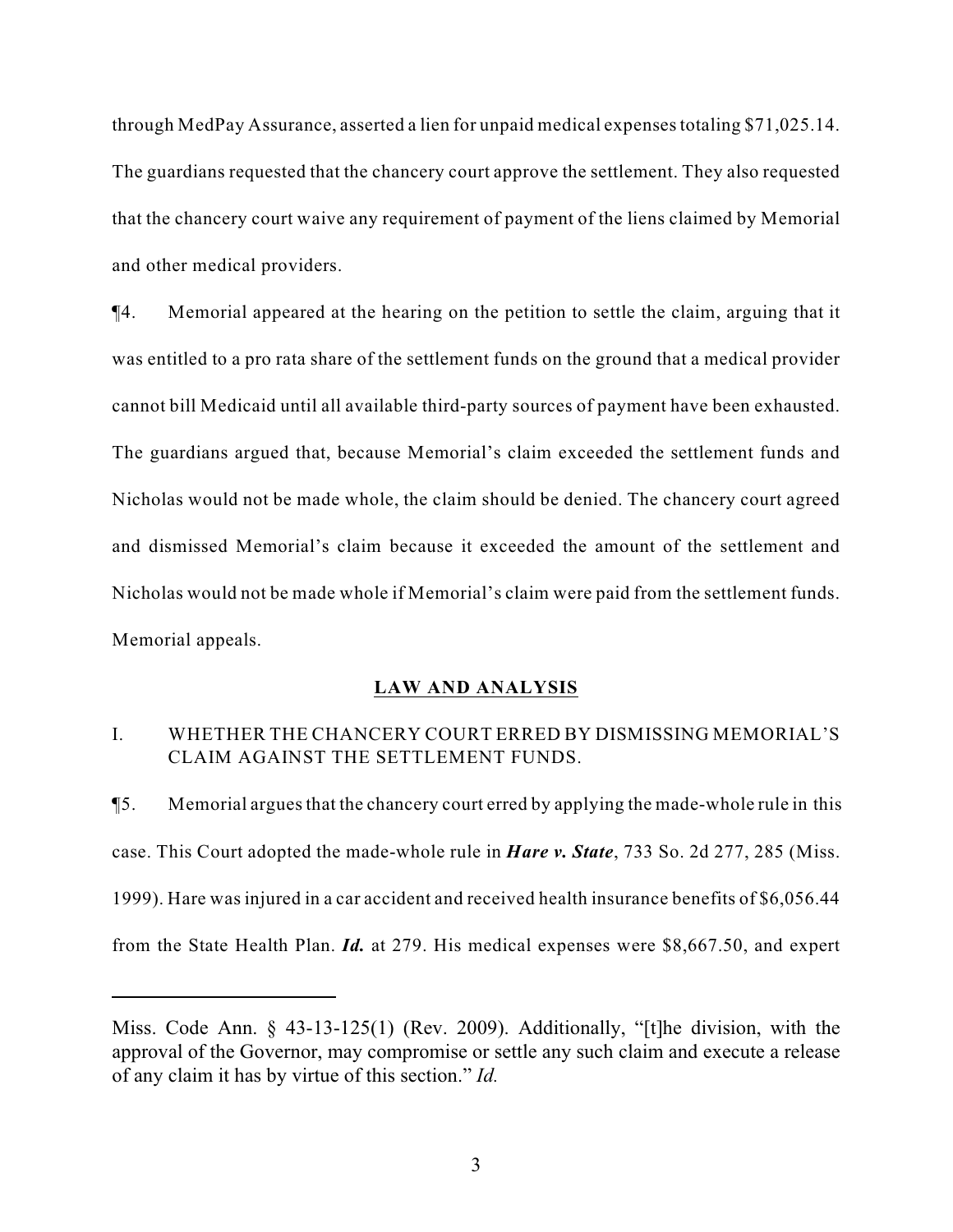through MedPay Assurance, asserted a lien for unpaid medical expenses totaling \$71,025.14. The guardians requested that the chancery court approve the settlement. They also requested that the chancery court waive any requirement of payment of the liens claimed by Memorial and other medical providers.

¶4. Memorial appeared at the hearing on the petition to settle the claim, arguing that it was entitled to a pro rata share of the settlement funds on the ground that a medical provider cannot bill Medicaid until all available third-party sources of payment have been exhausted. The guardians argued that, because Memorial's claim exceeded the settlement funds and Nicholas would not be made whole, the claim should be denied. The chancery court agreed and dismissed Memorial's claim because it exceeded the amount of the settlement and Nicholas would not be made whole if Memorial's claim were paid from the settlement funds. Memorial appeals.

## **LAW AND ANALYSIS**

## I. WHETHER THE CHANCERY COURT ERRED BY DISMISSING MEMORIAL'S CLAIM AGAINST THE SETTLEMENT FUNDS.

¶5. Memorial argues that the chancery court erred by applying the made-whole rule in this case. This Court adopted the made-whole rule in *Hare v. State*, 733 So. 2d 277, 285 (Miss. 1999). Hare was injured in a car accident and received health insurance benefits of \$6,056.44 from the State Health Plan. *Id.* at 279. His medical expenses were \$8,667.50, and expert

Miss. Code Ann. § 43-13-125(1) (Rev. 2009). Additionally, "[t]he division, with the approval of the Governor, may compromise or settle any such claim and execute a release of any claim it has by virtue of this section." *Id.*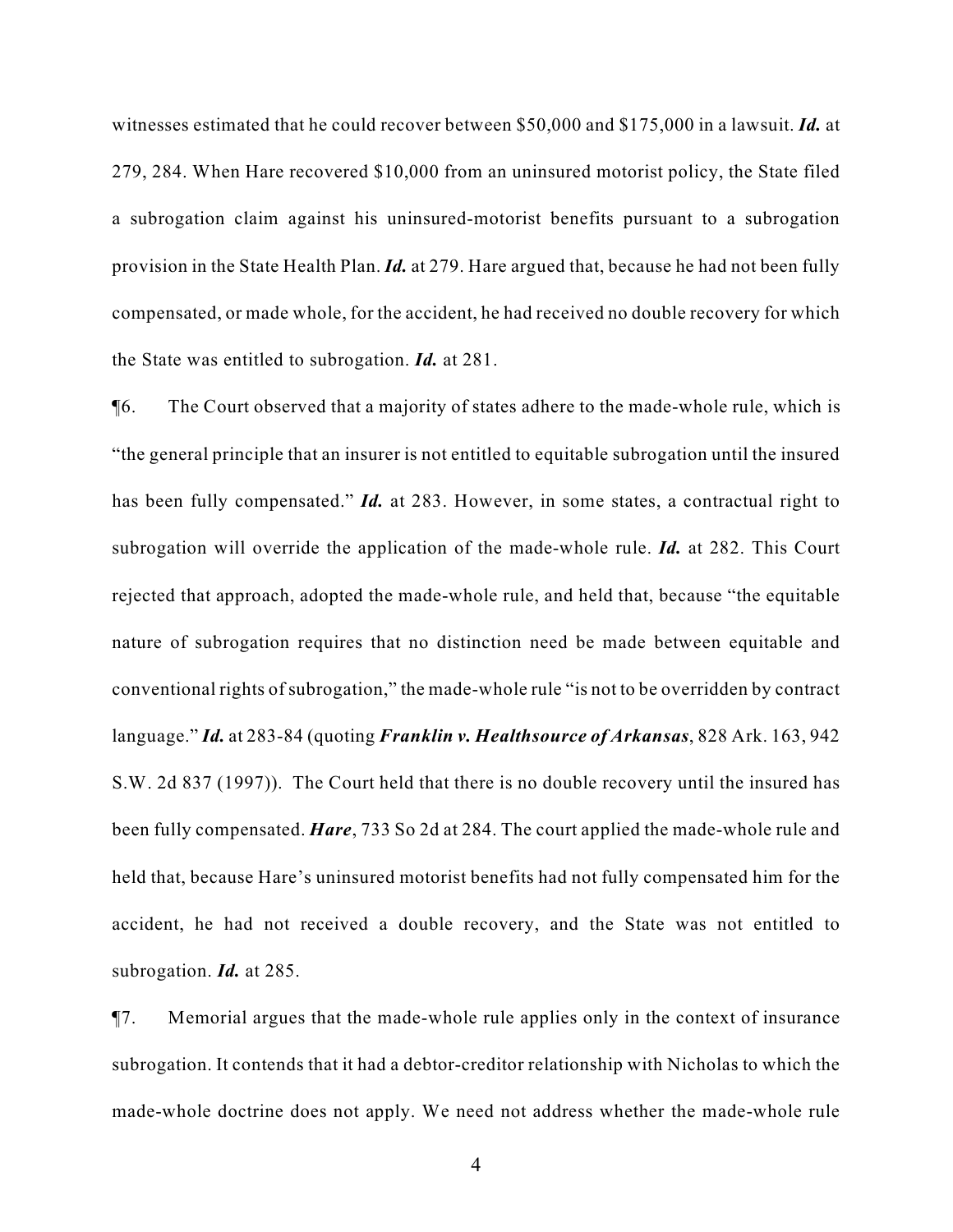witnesses estimated that he could recover between \$50,000 and \$175,000 in a lawsuit. *Id.* at 279, 284. When Hare recovered \$10,000 from an uninsured motorist policy, the State filed a subrogation claim against his uninsured-motorist benefits pursuant to a subrogation provision in the State Health Plan. *Id.* at 279. Hare argued that, because he had not been fully compensated, or made whole, for the accident, he had received no double recovery for which the State was entitled to subrogation. *Id.* at 281.

¶6. The Court observed that a majority of states adhere to the made-whole rule, which is "the general principle that an insurer is not entitled to equitable subrogation until the insured has been fully compensated." *Id.* at 283. However, in some states, a contractual right to subrogation will override the application of the made-whole rule. *Id.* at 282. This Court rejected that approach, adopted the made-whole rule, and held that, because "the equitable nature of subrogation requires that no distinction need be made between equitable and conventional rights of subrogation," the made-whole rule "is not to be overridden by contract language." *Id.* at 283-84 (quoting *Franklin v. Healthsource of Arkansas*, 828 Ark. 163, 942 S.W. 2d 837 (1997)). The Court held that there is no double recovery until the insured has been fully compensated. *Hare*, 733 So 2d at 284. The court applied the made-whole rule and held that, because Hare's uninsured motorist benefits had not fully compensated him for the accident, he had not received a double recovery, and the State was not entitled to subrogation. *Id.* at 285.

¶7. Memorial argues that the made-whole rule applies only in the context of insurance subrogation. It contends that it had a debtor-creditor relationship with Nicholas to which the made-whole doctrine does not apply. We need not address whether the made-whole rule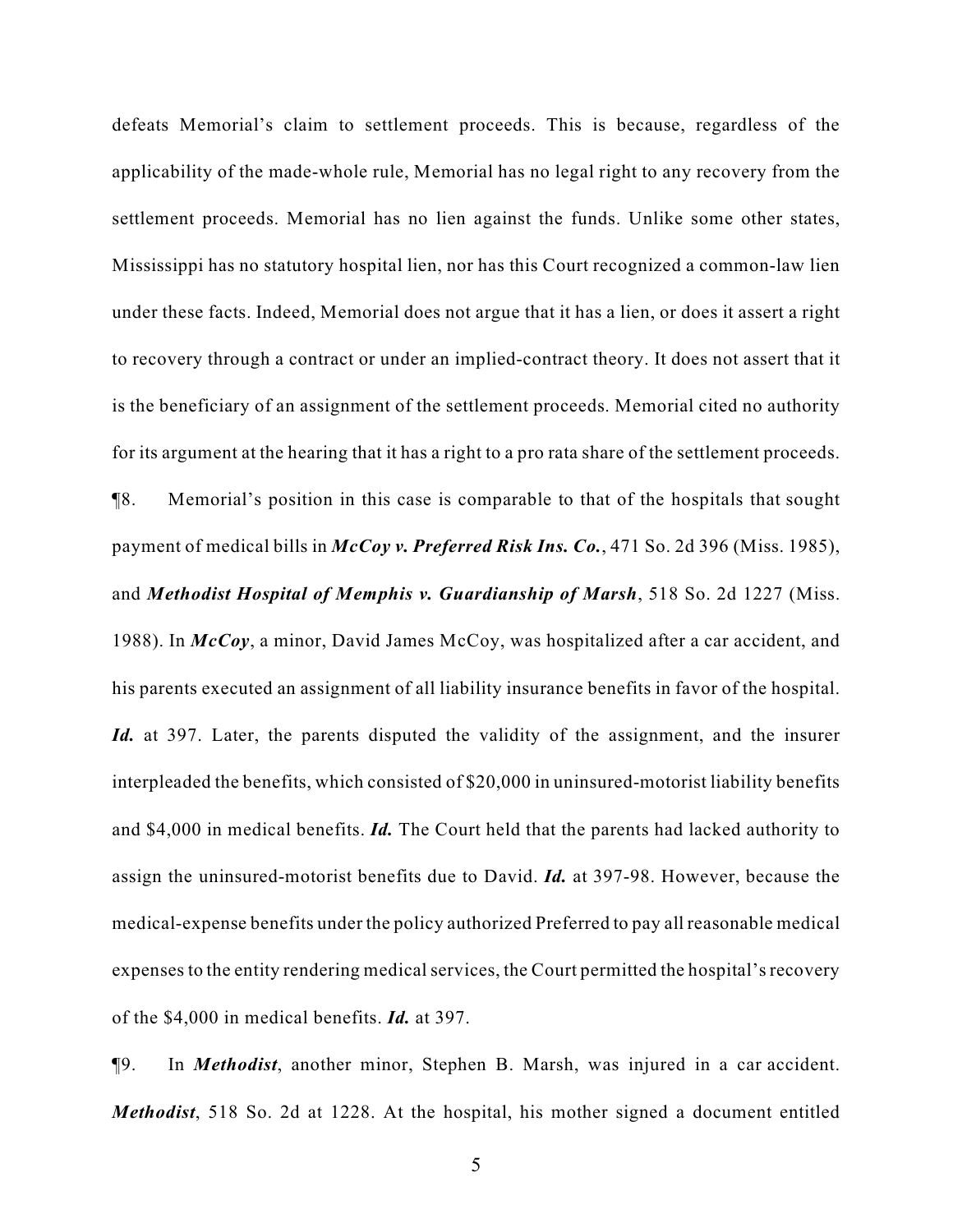defeats Memorial's claim to settlement proceeds. This is because, regardless of the applicability of the made-whole rule, Memorial has no legal right to any recovery from the settlement proceeds. Memorial has no lien against the funds. Unlike some other states, Mississippi has no statutory hospital lien, nor has this Court recognized a common-law lien under these facts. Indeed, Memorial does not argue that it has a lien, or does it assert a right to recovery through a contract or under an implied-contract theory. It does not assert that it is the beneficiary of an assignment of the settlement proceeds. Memorial cited no authority for its argument at the hearing that it has a right to a pro rata share of the settlement proceeds. ¶8. Memorial's position in this case is comparable to that of the hospitals that sought payment of medical bills in *McCoy v. Preferred Risk Ins. Co.*, 471 So. 2d 396 (Miss. 1985), and *Methodist Hospital of Memphis v. Guardianship of Marsh*, 518 So. 2d 1227 (Miss. 1988). In *McCoy*, a minor, David James McCoy, was hospitalized after a car accident, and his parents executed an assignment of all liability insurance benefits in favor of the hospital. Id. at 397. Later, the parents disputed the validity of the assignment, and the insurer interpleaded the benefits, which consisted of \$20,000 in uninsured-motorist liability benefits and \$4,000 in medical benefits. *Id.* The Court held that the parents had lacked authority to assign the uninsured-motorist benefits due to David. *Id.* at 397-98. However, because the medical-expense benefits under the policy authorized Preferred to pay all reasonable medical expenses to the entity rendering medical services, the Court permitted the hospital's recovery of the \$4,000 in medical benefits. *Id.* at 397.

¶9. In *Methodist*, another minor, Stephen B. Marsh, was injured in a car accident. *Methodist*, 518 So. 2d at 1228. At the hospital, his mother signed a document entitled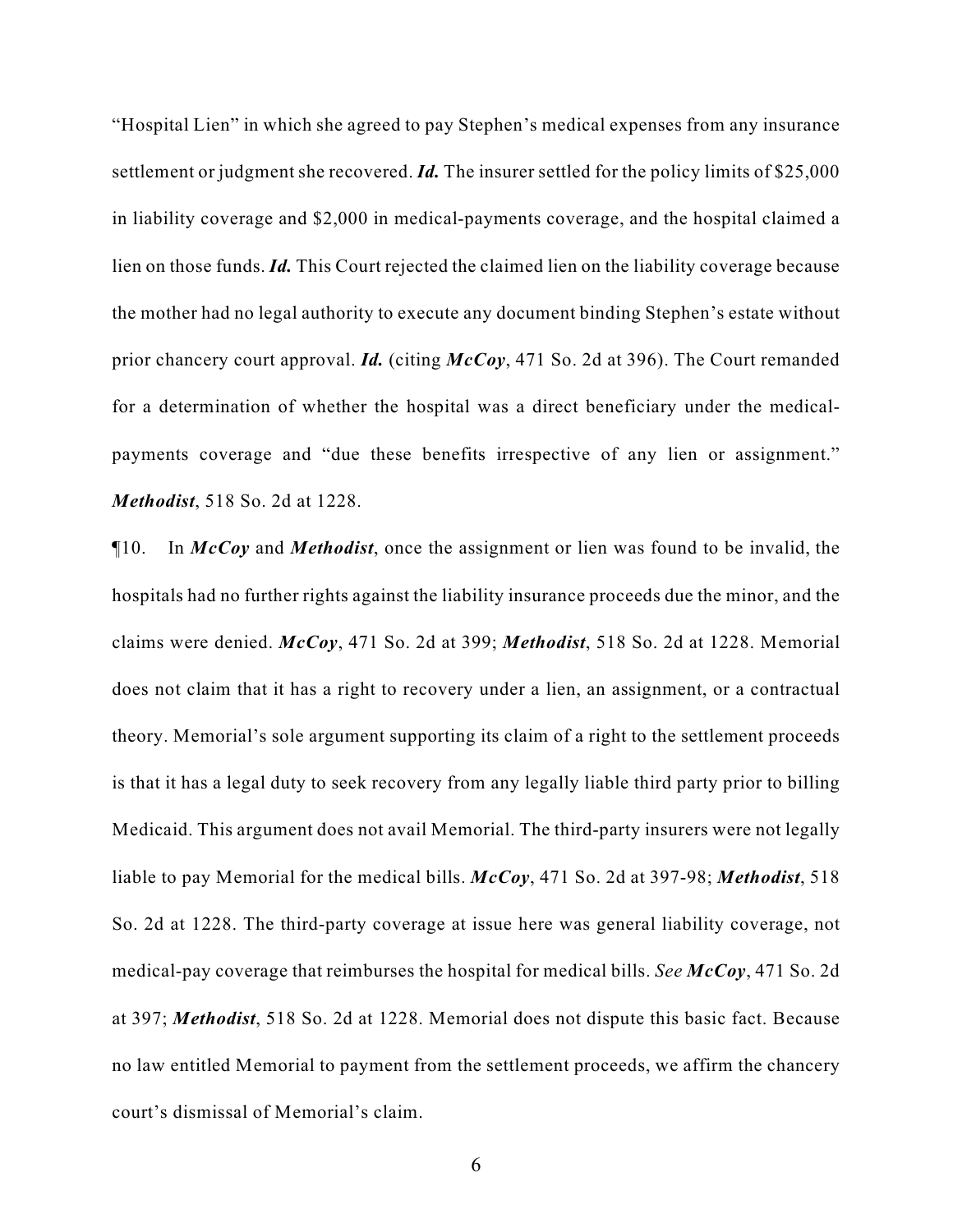"Hospital Lien" in which she agreed to pay Stephen's medical expenses from any insurance settlement or judgment she recovered. *Id.* The insurer settled for the policy limits of \$25,000 in liability coverage and \$2,000 in medical-payments coverage, and the hospital claimed a lien on those funds. *Id.* This Court rejected the claimed lien on the liability coverage because the mother had no legal authority to execute any document binding Stephen's estate without prior chancery court approval. *Id.* (citing *McCoy*, 471 So. 2d at 396). The Court remanded for a determination of whether the hospital was a direct beneficiary under the medicalpayments coverage and "due these benefits irrespective of any lien or assignment." *Methodist*, 518 So. 2d at 1228.

¶10. In *McCoy* and *Methodist*, once the assignment or lien was found to be invalid, the hospitals had no further rights against the liability insurance proceeds due the minor, and the claims were denied. *McCoy*, 471 So. 2d at 399; *Methodist*, 518 So. 2d at 1228. Memorial does not claim that it has a right to recovery under a lien, an assignment, or a contractual theory. Memorial's sole argument supporting its claim of a right to the settlement proceeds is that it has a legal duty to seek recovery from any legally liable third party prior to billing Medicaid. This argument does not avail Memorial. The third-party insurers were not legally liable to pay Memorial for the medical bills. *McCoy*, 471 So. 2d at 397-98; *Methodist*, 518 So. 2d at 1228. The third-party coverage at issue here was general liability coverage, not medical-pay coverage that reimburses the hospital for medical bills. *See McCoy*, 471 So. 2d at 397; *Methodist*, 518 So. 2d at 1228. Memorial does not dispute this basic fact. Because no law entitled Memorial to payment from the settlement proceeds, we affirm the chancery court's dismissal of Memorial's claim.